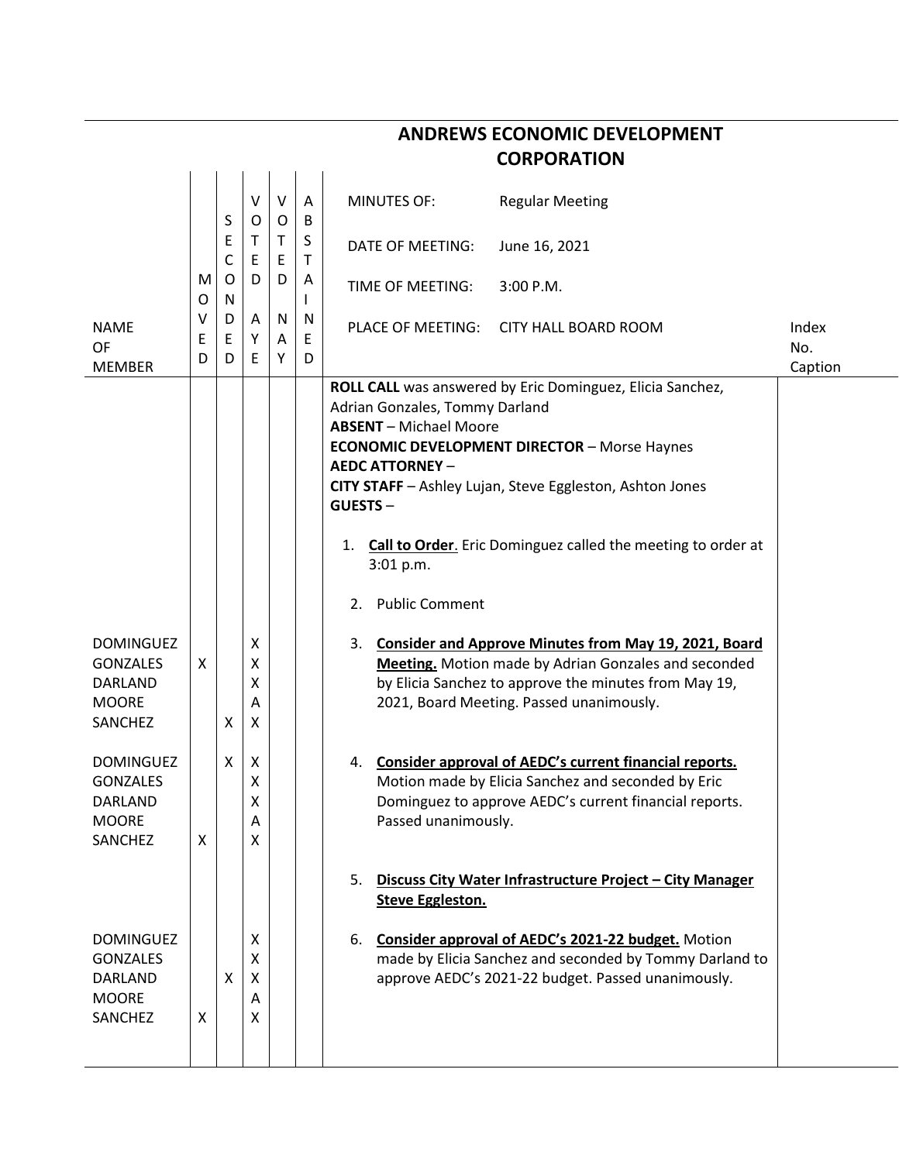|                                                                                  |             |                          |                       |             |             |                                                                                                                                                                                                                                                                        | <b>CORPORATION</b>                                                                                                                                                                                                                                  |                         |
|----------------------------------------------------------------------------------|-------------|--------------------------|-----------------------|-------------|-------------|------------------------------------------------------------------------------------------------------------------------------------------------------------------------------------------------------------------------------------------------------------------------|-----------------------------------------------------------------------------------------------------------------------------------------------------------------------------------------------------------------------------------------------------|-------------------------|
|                                                                                  |             | S                        | V<br>O                | $\vee$<br>0 | A<br>B      | <b>MINUTES OF:</b>                                                                                                                                                                                                                                                     | <b>Regular Meeting</b>                                                                                                                                                                                                                              |                         |
|                                                                                  |             | Ε<br>C<br>O<br>${\sf N}$ | T<br>Ε<br>D           | Τ<br>Ε      | S<br>т      | DATE OF MEETING:                                                                                                                                                                                                                                                       | June 16, 2021                                                                                                                                                                                                                                       |                         |
|                                                                                  | M<br>O      |                          |                       | D           | A           | TIME OF MEETING:                                                                                                                                                                                                                                                       | 3:00 P.M.                                                                                                                                                                                                                                           |                         |
| <b>NAME</b><br>OF<br><b>MEMBER</b>                                               | v<br>Ε<br>D | D<br>Ε<br>D              | Α<br>Υ<br>Ε           | N<br>A<br>Y | N<br>E<br>D | PLACE OF MEETING:                                                                                                                                                                                                                                                      | <b>CITY HALL BOARD ROOM</b>                                                                                                                                                                                                                         | Index<br>No.<br>Caption |
|                                                                                  |             |                          |                       |             |             | Adrian Gonzales, Tommy Darland<br><b>ABSENT</b> - Michael Moore<br><b>AEDC ATTORNEY -</b><br><b>GUESTS-</b><br>1.<br>3:01 p.m.<br><b>Public Comment</b><br>2.                                                                                                          | ROLL CALL was answered by Eric Dominguez, Elicia Sanchez,<br><b>ECONOMIC DEVELOPMENT DIRECTOR - Morse Haynes</b><br>CITY STAFF - Ashley Lujan, Steve Eggleston, Ashton Jones<br><b>Call to Order.</b> Eric Dominguez called the meeting to order at |                         |
| <b>DOMINGUEZ</b><br><b>GONZALES</b><br>DARLAND<br><b>MOORE</b><br>SANCHEZ        | X           | X                        | х<br>x<br>X<br>Α<br>Χ |             |             | 3.                                                                                                                                                                                                                                                                     | <b>Consider and Approve Minutes from May 19, 2021, Board</b><br>Meeting. Motion made by Adrian Gonzales and seconded<br>by Elicia Sanchez to approve the minutes from May 19,<br>2021, Board Meeting. Passed unanimously.                           |                         |
| <b>DOMINGUEZ</b><br><b>GONZALES</b><br><b>DARLAND</b><br><b>MOORE</b><br>SANCHEZ | X           | X                        | X<br>х<br>Χ<br>Α<br>x |             |             | 4.<br>Passed unanimously.                                                                                                                                                                                                                                              | Consider approval of AEDC's current financial reports.<br>Motion made by Elicia Sanchez and seconded by Eric<br>Dominguez to approve AEDC's current financial reports.                                                                              |                         |
| <b>DOMINGUEZ</b><br><b>GONZALES</b><br><b>DARLAND</b><br><b>MOORE</b><br>SANCHEZ | X           | X                        | х<br>X<br>X<br>Α<br>x |             |             | Discuss City Water Infrastructure Project - City Manager<br>5.<br><b>Steve Eggleston.</b><br>Consider approval of AEDC's 2021-22 budget. Motion<br>6.<br>made by Elicia Sanchez and seconded by Tommy Darland to<br>approve AEDC's 2021-22 budget. Passed unanimously. |                                                                                                                                                                                                                                                     |                         |

**ANDREWS ECONOMIC DEVELOPMENT**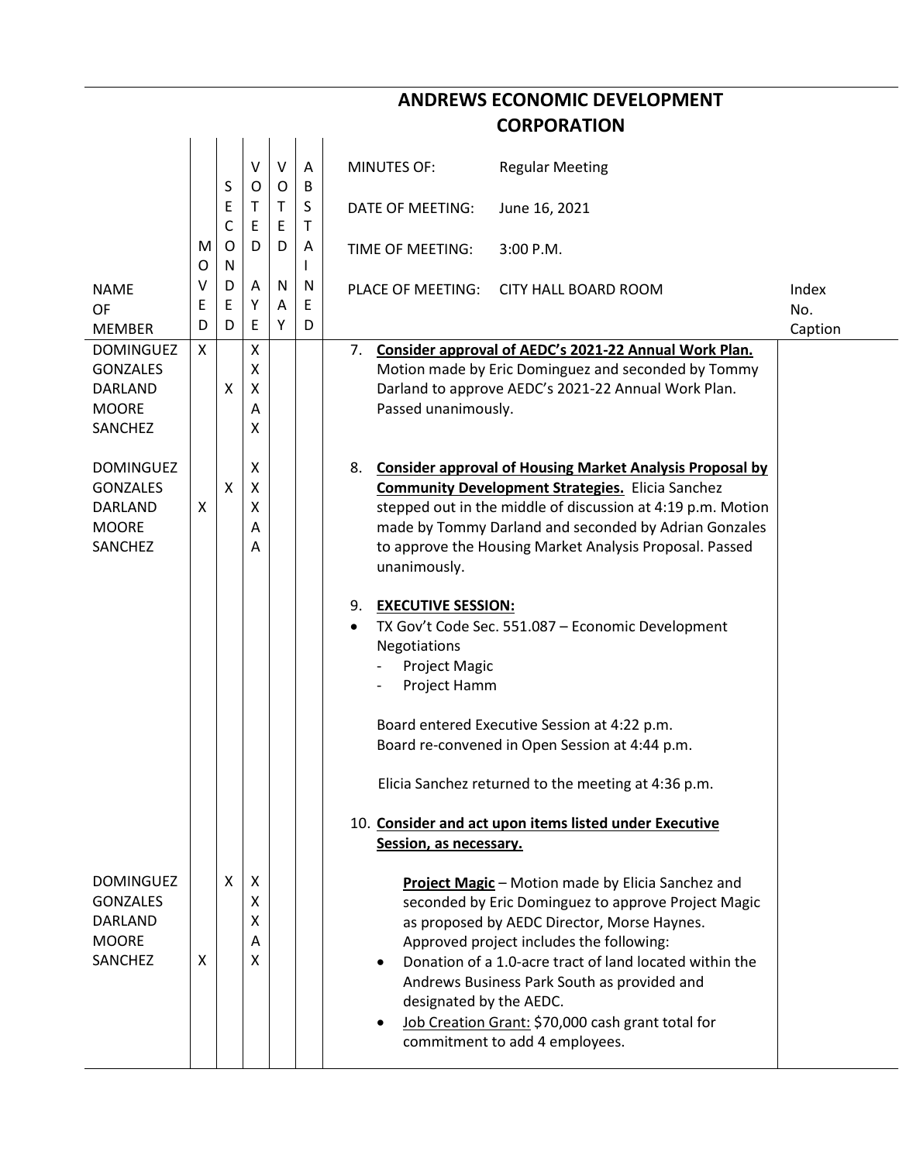|                                                                                  | <b>ANDREWS ECONOMIC DEVELOPMENT</b> |                        |                       |             |                        |                                                                                                                                                                                                                                                                                                                                                                                                                                 |  |  |  |  |
|----------------------------------------------------------------------------------|-------------------------------------|------------------------|-----------------------|-------------|------------------------|---------------------------------------------------------------------------------------------------------------------------------------------------------------------------------------------------------------------------------------------------------------------------------------------------------------------------------------------------------------------------------------------------------------------------------|--|--|--|--|
|                                                                                  |                                     |                        |                       |             |                        | <b>CORPORATION</b>                                                                                                                                                                                                                                                                                                                                                                                                              |  |  |  |  |
|                                                                                  |                                     |                        | V                     | V           | Α                      | <b>MINUTES OF:</b><br><b>Regular Meeting</b>                                                                                                                                                                                                                                                                                                                                                                                    |  |  |  |  |
|                                                                                  |                                     | S<br>E                 | O<br>T                | O<br>Τ      | B<br>S                 | DATE OF MEETING:<br>June 16, 2021                                                                                                                                                                                                                                                                                                                                                                                               |  |  |  |  |
|                                                                                  | M<br>O                              | $\mathsf{C}$<br>O<br>N | Ε<br>D                | Ε<br>D      | т<br>A<br>$\mathsf{I}$ | 3:00 P.M.<br>TIME OF MEETING:                                                                                                                                                                                                                                                                                                                                                                                                   |  |  |  |  |
| <b>NAME</b><br>OF<br><b>MEMBER</b>                                               | V<br>E<br>D                         | D<br>Ε<br>D            | A<br>Υ<br>E           | N<br>A<br>Y | N<br>E<br>D            | Index<br>PLACE OF MEETING:<br><b>CITY HALL BOARD ROOM</b><br>No.                                                                                                                                                                                                                                                                                                                                                                |  |  |  |  |
| <b>DOMINGUEZ</b><br><b>GONZALES</b><br>DARLAND<br><b>MOORE</b><br>SANCHEZ        | X                                   | X                      | X<br>X<br>X<br>Α<br>X |             |                        | Caption<br>Consider approval of AEDC's 2021-22 Annual Work Plan.<br>7.<br>Motion made by Eric Dominguez and seconded by Tommy<br>Darland to approve AEDC's 2021-22 Annual Work Plan.<br>Passed unanimously.                                                                                                                                                                                                                     |  |  |  |  |
| <b>DOMINGUEZ</b><br><b>GONZALES</b><br>DARLAND<br><b>MOORE</b><br><b>SANCHEZ</b> | X                                   | X                      | X<br>X<br>Χ<br>Α<br>Α |             |                        | <b>Consider approval of Housing Market Analysis Proposal by</b><br>8.<br><b>Community Development Strategies.</b> Elicia Sanchez<br>stepped out in the middle of discussion at 4:19 p.m. Motion<br>made by Tommy Darland and seconded by Adrian Gonzales<br>to approve the Housing Market Analysis Proposal. Passed<br>unanimously.                                                                                             |  |  |  |  |
|                                                                                  |                                     |                        |                       |             |                        | <b>EXECUTIVE SESSION:</b><br>9.<br>TX Gov't Code Sec. 551.087 - Economic Development<br>$\bullet$<br>Negotiations<br><b>Project Magic</b><br>Project Hamm                                                                                                                                                                                                                                                                       |  |  |  |  |
|                                                                                  |                                     |                        |                       |             |                        | Board entered Executive Session at 4:22 p.m.<br>Board re-convened in Open Session at 4:44 p.m.                                                                                                                                                                                                                                                                                                                                  |  |  |  |  |
|                                                                                  |                                     |                        |                       |             |                        | Elicia Sanchez returned to the meeting at 4:36 p.m.                                                                                                                                                                                                                                                                                                                                                                             |  |  |  |  |
|                                                                                  |                                     |                        |                       |             |                        | 10. Consider and act upon items listed under Executive<br>Session, as necessary.                                                                                                                                                                                                                                                                                                                                                |  |  |  |  |
| <b>DOMINGUEZ</b><br><b>GONZALES</b><br>DARLAND<br><b>MOORE</b><br>SANCHEZ        | X                                   | X                      | Х<br>X<br>X<br>A<br>X |             |                        | Project Magic - Motion made by Elicia Sanchez and<br>seconded by Eric Dominguez to approve Project Magic<br>as proposed by AEDC Director, Morse Haynes.<br>Approved project includes the following:<br>Donation of a 1.0-acre tract of land located within the<br>Andrews Business Park South as provided and<br>designated by the AEDC.<br>Job Creation Grant: \$70,000 cash grant total for<br>commitment to add 4 employees. |  |  |  |  |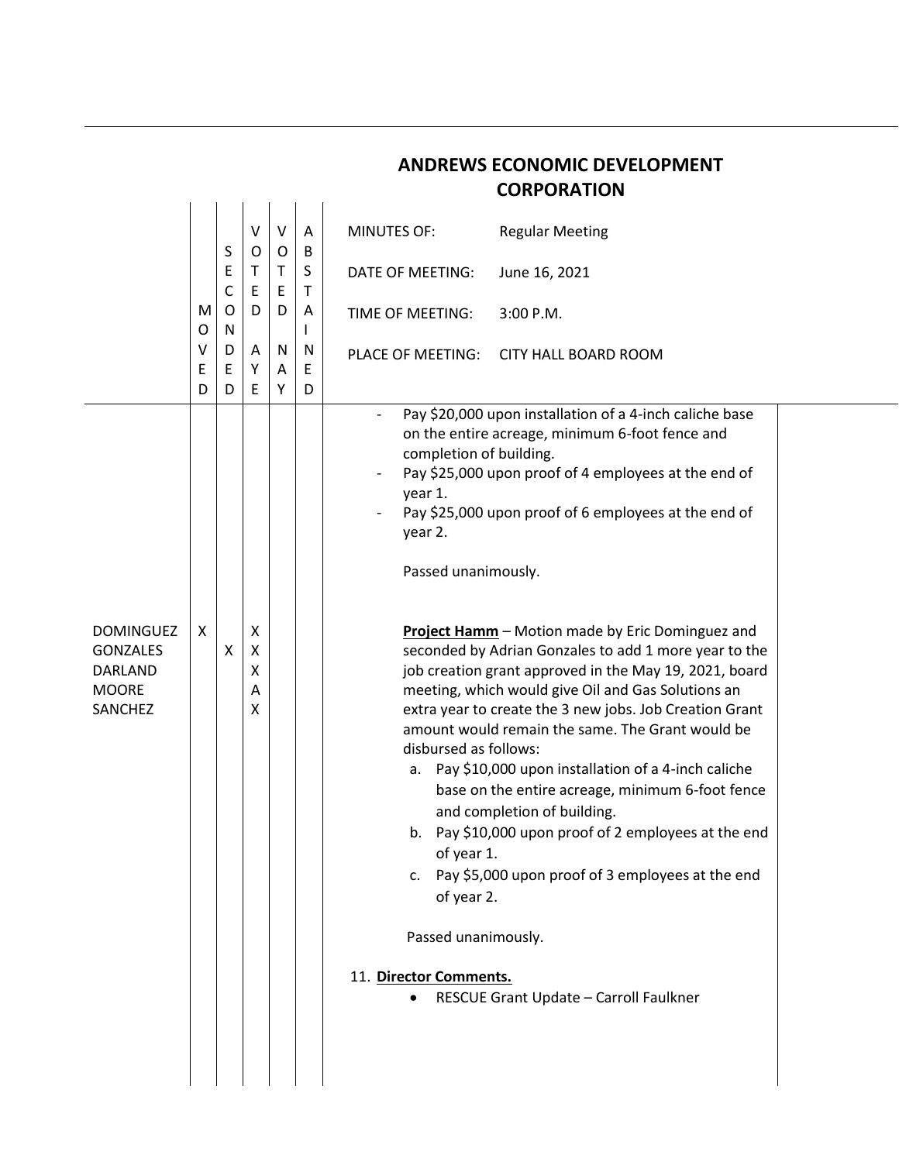|                                                                                  |                  |                       |                       |                             |                       |                                                                                                                                                                            | <b>CORPORATION</b>                                                                                                                                                                                                                                                                                                                                                                                                                                                                                                                                                                                                                                                                                                                                                                                                                                                          |
|----------------------------------------------------------------------------------|------------------|-----------------------|-----------------------|-----------------------------|-----------------------|----------------------------------------------------------------------------------------------------------------------------------------------------------------------------|-----------------------------------------------------------------------------------------------------------------------------------------------------------------------------------------------------------------------------------------------------------------------------------------------------------------------------------------------------------------------------------------------------------------------------------------------------------------------------------------------------------------------------------------------------------------------------------------------------------------------------------------------------------------------------------------------------------------------------------------------------------------------------------------------------------------------------------------------------------------------------|
|                                                                                  |                  |                       | V                     | V                           | A                     | <b>MINUTES OF:</b>                                                                                                                                                         | <b>Regular Meeting</b>                                                                                                                                                                                                                                                                                                                                                                                                                                                                                                                                                                                                                                                                                                                                                                                                                                                      |
|                                                                                  |                  | S<br>E<br>C<br>O<br>N | O<br>Τ<br>E<br>D      | 0<br>$\mathsf{T}$<br>E<br>D | B<br>S<br>$\mathsf T$ | <b>DATE OF MEETING:</b>                                                                                                                                                    | June 16, 2021                                                                                                                                                                                                                                                                                                                                                                                                                                                                                                                                                                                                                                                                                                                                                                                                                                                               |
|                                                                                  | M<br>O           |                       |                       |                             | A<br>L                | TIME OF MEETING:                                                                                                                                                           | 3:00 P.M.                                                                                                                                                                                                                                                                                                                                                                                                                                                                                                                                                                                                                                                                                                                                                                                                                                                                   |
|                                                                                  | $\vee$<br>Ε<br>D | D<br>E<br>D           | Α<br>Υ<br>E           | N<br>Α<br>Y                 | N<br>E<br>D           | PLACE OF MEETING:                                                                                                                                                          | <b>CITY HALL BOARD ROOM</b>                                                                                                                                                                                                                                                                                                                                                                                                                                                                                                                                                                                                                                                                                                                                                                                                                                                 |
| <b>DOMINGUEZ</b><br><b>GONZALES</b><br><b>DARLAND</b><br><b>MOORE</b><br>SANCHEZ | X                | X                     | X<br>X<br>χ<br>A<br>x |                             |                       | completion of building.<br>year 1.<br>year 2.<br>Passed unanimously.<br>disbursed as follows:<br>of year 1.<br>of year 2.<br>Passed unanimously.<br>11. Director Comments. | Pay \$20,000 upon installation of a 4-inch caliche base<br>on the entire acreage, minimum 6-foot fence and<br>Pay \$25,000 upon proof of 4 employees at the end of<br>Pay \$25,000 upon proof of 6 employees at the end of<br>Project Hamm - Motion made by Eric Dominguez and<br>seconded by Adrian Gonzales to add 1 more year to the<br>job creation grant approved in the May 19, 2021, board<br>meeting, which would give Oil and Gas Solutions an<br>extra year to create the 3 new jobs. Job Creation Grant<br>amount would remain the same. The Grant would be<br>a. Pay \$10,000 upon installation of a 4-inch caliche<br>base on the entire acreage, minimum 6-foot fence<br>and completion of building.<br>b. Pay \$10,000 upon proof of 2 employees at the end<br>c. Pay \$5,000 upon proof of 3 employees at the end<br>RESCUE Grant Update - Carroll Faulkner |

**ANDREWS ECONOMIC DEVELOPMENT**